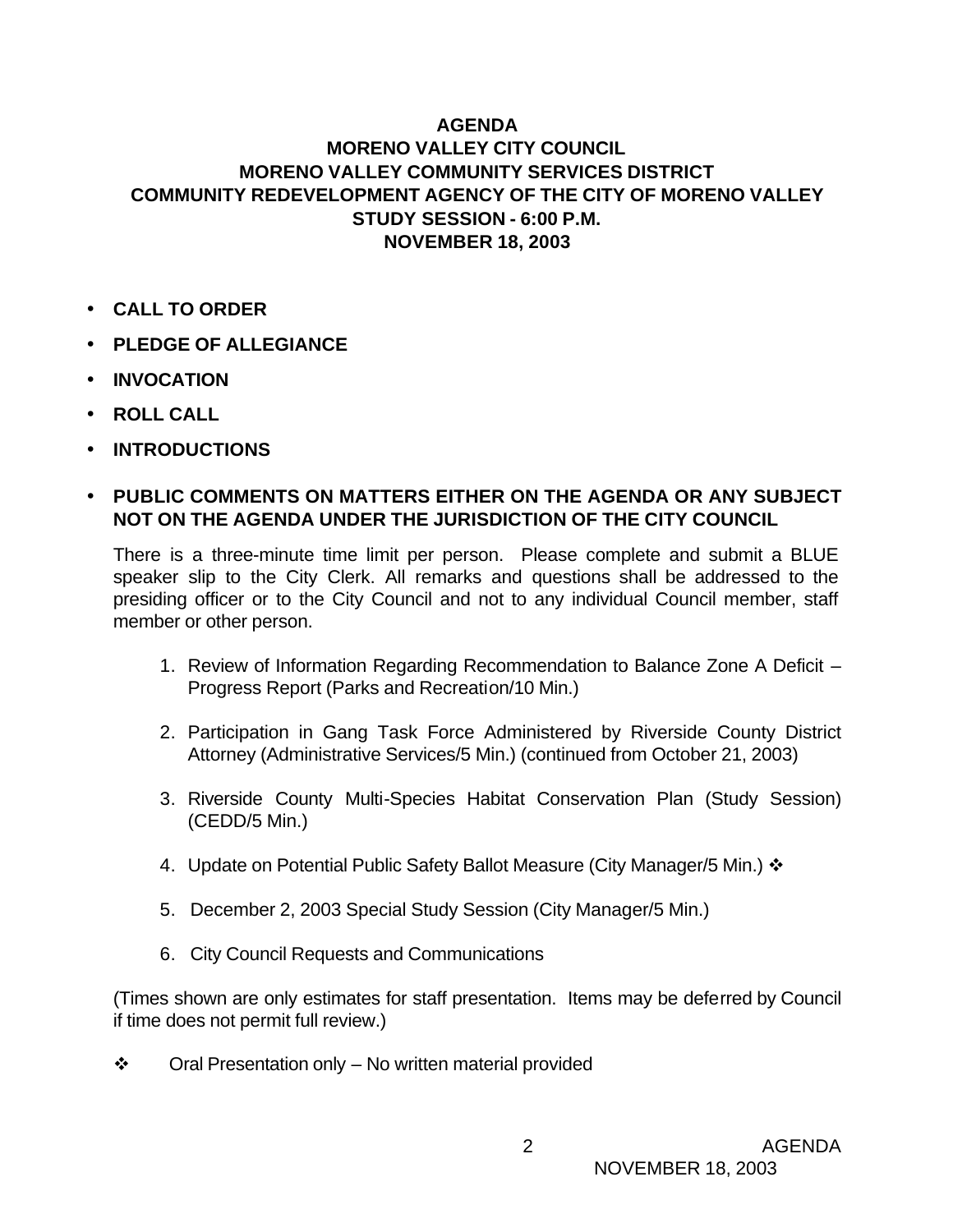## **AGENDA**

## **MORENO VALLEY CITY COUNCIL MORENO VALLEY COMMUNITY SERVICES DISTRICT COMMUNITY REDEVELOPMENT AGENCY OF THE CITY OF MORENO VALLEY STUDY SESSION - 6:00 P.M. NOVEMBER 18, 2003**

- **CALL TO ORDER**
- **PLEDGE OF ALLEGIANCE**
- **INVOCATION**
- **ROLL CALL**
- **INTRODUCTIONS**

## • **PUBLIC COMMENTS ON MATTERS EITHER ON THE AGENDA OR ANY SUBJECT NOT ON THE AGENDA UNDER THE JURISDICTION OF THE CITY COUNCIL**

There is a three-minute time limit per person. Please complete and submit a BLUE speaker slip to the City Clerk. All remarks and questions shall be addressed to the presiding officer or to the City Council and not to any individual Council member, staff member or other person.

- 1. Review of Information Regarding Recommendation to Balance Zone A Deficit Progress Report (Parks and Recreation/10 Min.)
- 2. Participation in Gang Task Force Administered by Riverside County District Attorney (Administrative Services/5 Min.) (continued from October 21, 2003)
- 3. Riverside County Multi-Species Habitat Conservation Plan (Study Session) (CEDD/5 Min.)
- 4. Update on Potential Public Safety Ballot Measure (City Manager/5 Min.)  $\cdot$
- 5. December 2, 2003 Special Study Session (City Manager/5 Min.)
- 6. City Council Requests and Communications

(Times shown are only estimates for staff presentation. Items may be deferred by Council if time does not permit full review.)

 $\div$  Oral Presentation only – No written material provided